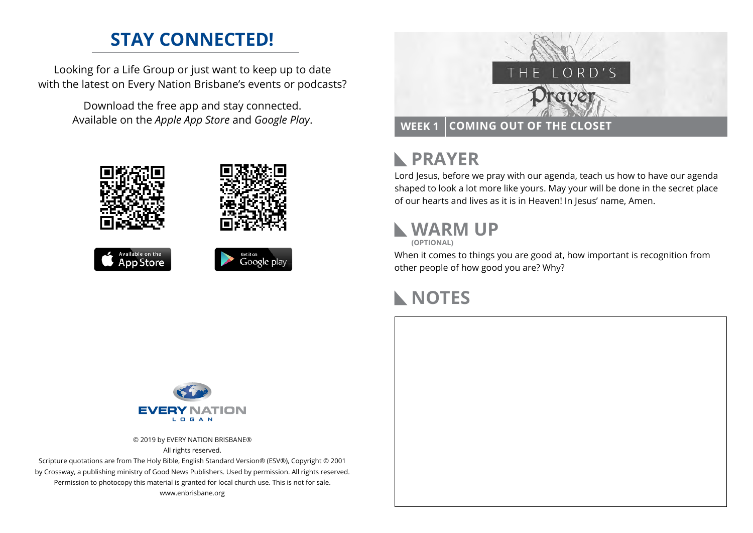## **STAY CONNECTED!**

Looking for a Life Group or just want to keep up to date with the latest on Every Nation Brisbane's events or podcasts?

> Download the free app and stay connected. Available on the *Apple App Store* and *Google Play*.





### **PRAYER**  $\mathbb{R}$

Lord Jesus, before we pray with our agenda, teach us how to have our agenda shaped to look a lot more like yours. May your will be done in the secret place of our hearts and lives as it is in Heaven! In Jesus' name, Amen.

## **WARM UP**

**(OPTIONAL)**

When it comes to things you are good at, how important is recognition from other people of how good you are? Why?

## **NOTES**



© 2019 by EVERY NATION BRISBANE® All rights reserved.

Scripture quotations are from The Holy Bible, English Standard Version® (ESV®), Copyright © 2001 by Crossway, a publishing ministry of Good News Publishers. Used by permission. All rights reserved. Permission to photocopy this material is granted for local church use. This is not for sale. www.enbrisbane.org